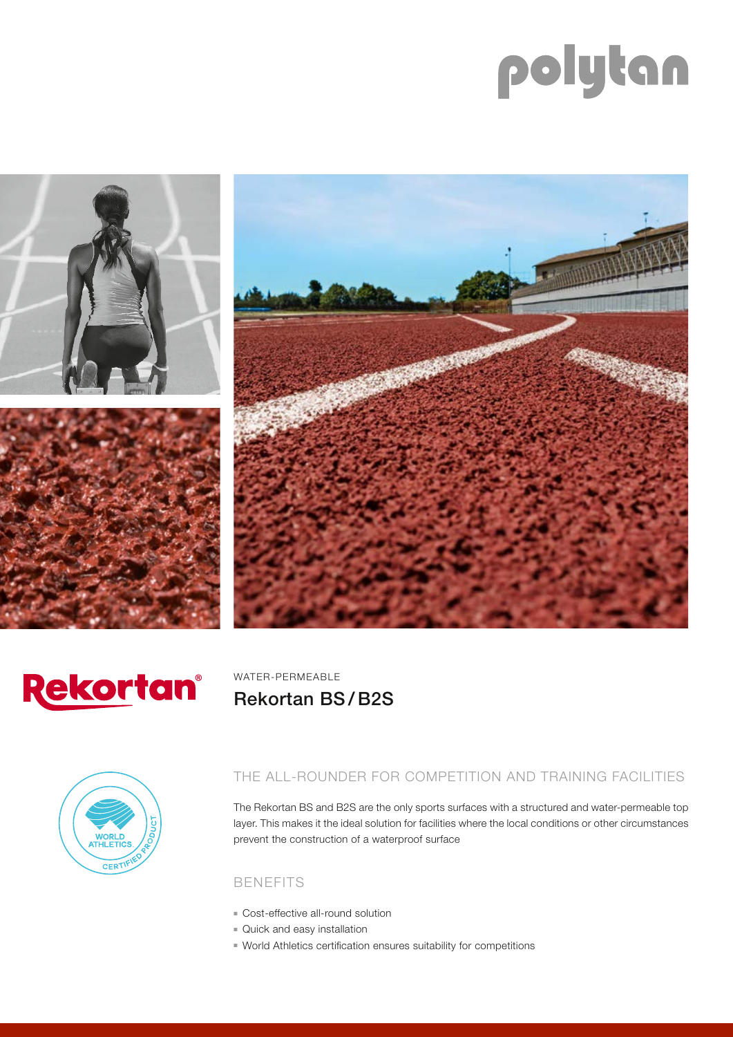# polytan







WATER-PERMEABLE Rekortan BS / B2S



THE ALL-ROUNDER FOR COMPETITION AND TRAINING FACILITIES

The Rekortan BS and B2S are the only sports surfaces with a structured and water-permeable top layer. This makes it the ideal solution for facilities where the local conditions or other circumstances prevent the construction of a waterproof surface

#### BENEFITS

- Cost-effective all-round solution
- **Quick and easy installation**
- **World Athletics certification ensures suitability for competitions**